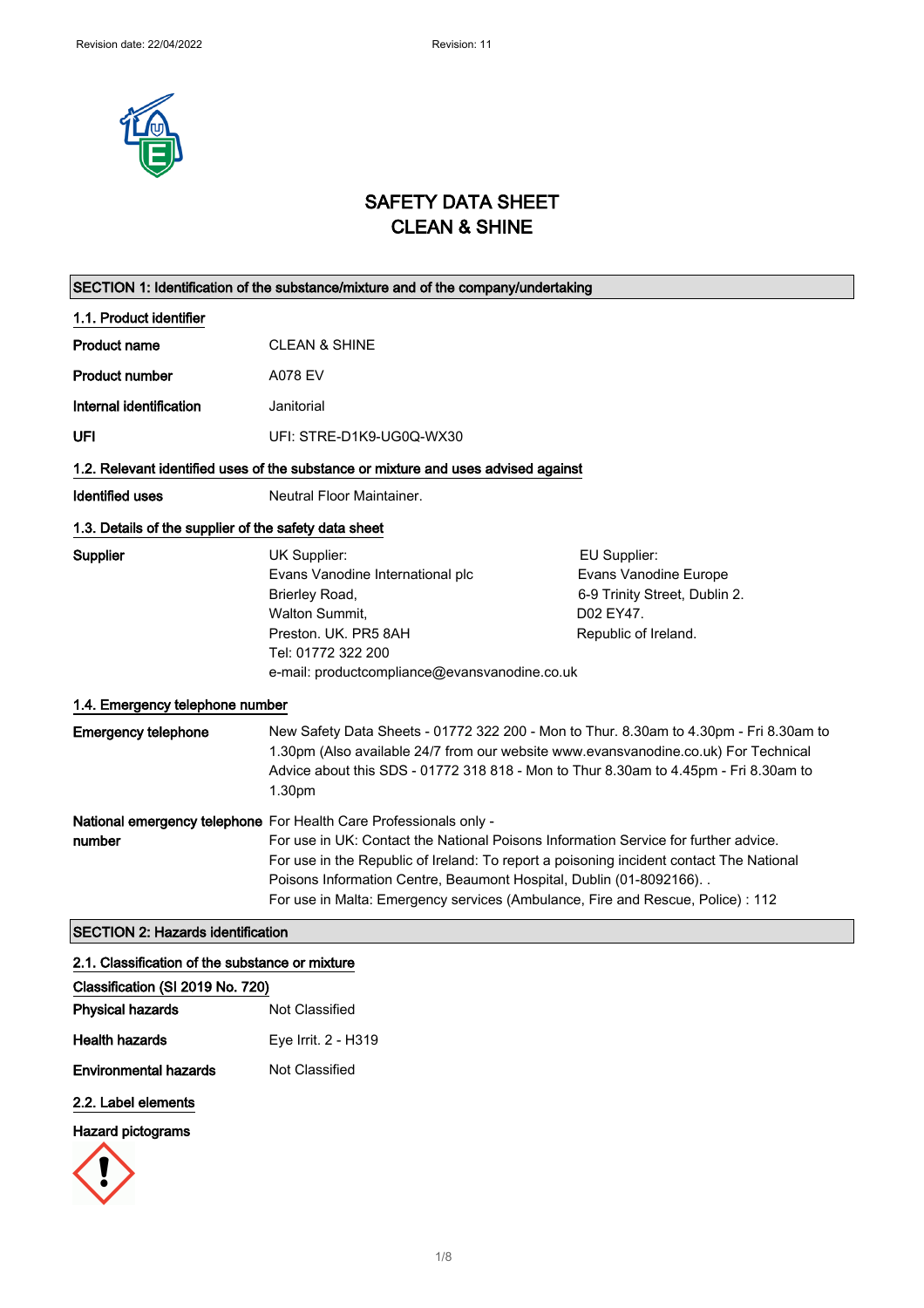

# SAFETY DATA SHEET CLEAN & SHINE

| SECTION 1: Identification of the substance/mixture and of the company/undertaking  |                                                                                                                                                                                                                                                                                                                                                                                                                 |                                                                                                             |
|------------------------------------------------------------------------------------|-----------------------------------------------------------------------------------------------------------------------------------------------------------------------------------------------------------------------------------------------------------------------------------------------------------------------------------------------------------------------------------------------------------------|-------------------------------------------------------------------------------------------------------------|
| 1.1. Product identifier                                                            |                                                                                                                                                                                                                                                                                                                                                                                                                 |                                                                                                             |
| <b>Product name</b>                                                                | <b>CLEAN &amp; SHINE</b>                                                                                                                                                                                                                                                                                                                                                                                        |                                                                                                             |
| <b>Product number</b>                                                              | A078 EV                                                                                                                                                                                                                                                                                                                                                                                                         |                                                                                                             |
| Internal identification                                                            | Janitorial                                                                                                                                                                                                                                                                                                                                                                                                      |                                                                                                             |
| UFI                                                                                | UFI: STRE-D1K9-UG0Q-WX30                                                                                                                                                                                                                                                                                                                                                                                        |                                                                                                             |
| 1.2. Relevant identified uses of the substance or mixture and uses advised against |                                                                                                                                                                                                                                                                                                                                                                                                                 |                                                                                                             |
| Identified uses                                                                    | Neutral Floor Maintainer.                                                                                                                                                                                                                                                                                                                                                                                       |                                                                                                             |
| 1.3. Details of the supplier of the safety data sheet                              |                                                                                                                                                                                                                                                                                                                                                                                                                 |                                                                                                             |
| Supplier<br>1.4. Emergency telephone number                                        | UK Supplier:<br>Evans Vanodine International plc<br>Brierley Road,<br>Walton Summit,<br>Preston. UK. PR5 8AH<br>Tel: 01772 322 200<br>e-mail: productcompliance@evansvanodine.co.uk                                                                                                                                                                                                                             | EU Supplier:<br>Evans Vanodine Europe<br>6-9 Trinity Street, Dublin 2.<br>D02 EY47.<br>Republic of Ireland. |
| <b>Emergency telephone</b>                                                         | New Safety Data Sheets - 01772 322 200 - Mon to Thur. 8.30am to 4.30pm - Fri 8.30am to<br>1.30pm (Also available 24/7 from our website www.evansvanodine.co.uk) For Technical<br>Advice about this SDS - 01772 318 818 - Mon to Thur 8.30am to 4.45pm - Fri 8.30am to<br>1.30pm                                                                                                                                 |                                                                                                             |
| number                                                                             | National emergency telephone For Health Care Professionals only -<br>For use in UK: Contact the National Poisons Information Service for further advice.<br>For use in the Republic of Ireland: To report a poisoning incident contact The National<br>Poisons Information Centre, Beaumont Hospital, Dublin (01-8092166). .<br>For use in Malta: Emergency services (Ambulance, Fire and Rescue, Police) : 112 |                                                                                                             |
| <b>SECTION 2: Hazards identification</b>                                           |                                                                                                                                                                                                                                                                                                                                                                                                                 |                                                                                                             |

| 2.1. Classification of the substance or mixture |                     |  |
|-------------------------------------------------|---------------------|--|
| Classification (SI 2019 No. 720)                |                     |  |
| <b>Physical hazards</b>                         | Not Classified      |  |
| <b>Health hazards</b>                           | Eye Irrit. 2 - H319 |  |
| <b>Environmental hazards</b>                    | Not Classified      |  |
|                                                 |                     |  |

# 2.2. Label elements

## Hazard pictograms

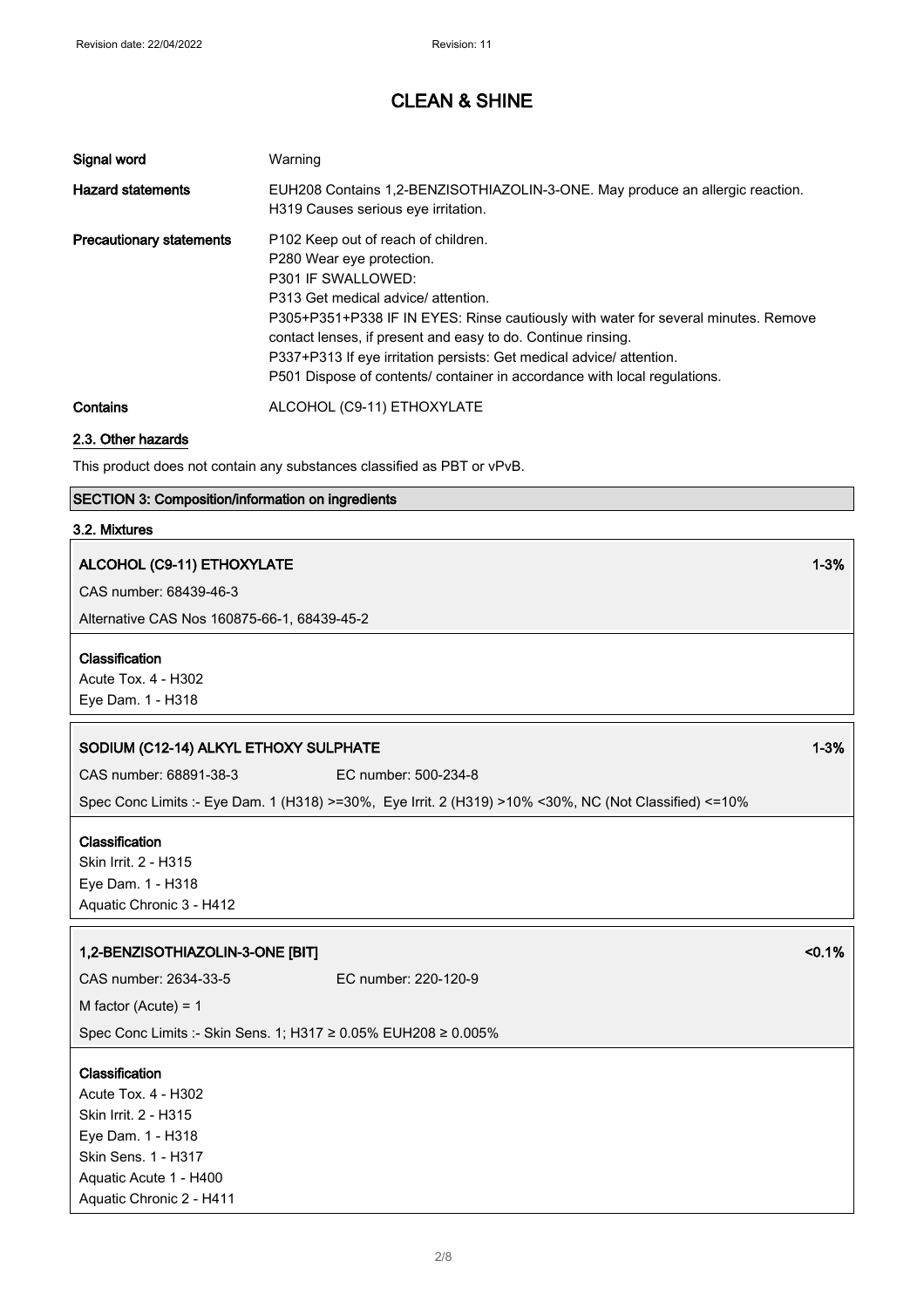| Signal word                     | Warning                                                                                                                                                                                                                                                                                                                                                                                                                                 |
|---------------------------------|-----------------------------------------------------------------------------------------------------------------------------------------------------------------------------------------------------------------------------------------------------------------------------------------------------------------------------------------------------------------------------------------------------------------------------------------|
| <b>Hazard statements</b>        | EUH208 Contains 1,2-BENZISOTHIAZOLIN-3-ONE. May produce an allergic reaction.<br>H319 Causes serious eve irritation.                                                                                                                                                                                                                                                                                                                    |
| <b>Precautionary statements</b> | P102 Keep out of reach of children.<br>P280 Wear eye protection.<br>P301 IF SWALLOWED:<br>P313 Get medical advice/ attention.<br>P305+P351+P338 IF IN EYES: Rinse cautiously with water for several minutes. Remove<br>contact lenses, if present and easy to do. Continue rinsing.<br>P337+P313 If eye irritation persists: Get medical advice/attention.<br>P501 Dispose of contents/ container in accordance with local regulations. |
| Contains                        | ALCOHOL (C9-11) ETHOXYLATE                                                                                                                                                                                                                                                                                                                                                                                                              |

#### 2.3. Other hazards

This product does not contain any substances classified as PBT or vPvB.

### SECTION 3: Composition/information on ingredients

#### 3.2. Mixtures

### ALCOHOL (C9-11) ETHOXYLATE 1-3%

CAS number: 68439-46-3

Alternative CAS Nos 160875-66-1, 68439-45-2

#### Classification

Acute Tox. 4 - H302 Eye Dam. 1 - H318

## SODIUM (C12-14) ALKYL ETHOXY SULPHATE 1 2008 1 2009 1 2009 1 2009 1 2009 1 2009 1 2009 1 2009 1 2009 1 2009 1 2

CAS number: 68891-38-3 EC number: 500-234-8

Spec Conc Limits :- Eye Dam. 1 (H318) >=30%, Eye Irrit. 2 (H319) >10% <30%, NC (Not Classified) <=10%

#### Classification

Skin Irrit. 2 - H315 Eye Dam. 1 - H318 Aquatic Chronic 3 - H412

## 1,2-BENZISOTHIAZOLIN-3-ONE [BIT] <0.1% <0.1%

CAS number: 2634-33-5 EC number: 220-120-9

M factor (Acute) = 1

Spec Conc Limits :- Skin Sens. 1; H317 ≥ 0.05% EUH208 ≥ 0.005%

#### Classification

Acute Tox. 4 - H302 Skin Irrit. 2 - H315 Eye Dam. 1 - H318 Skin Sens. 1 - H317 Aquatic Acute 1 - H400 Aquatic Chronic 2 - H411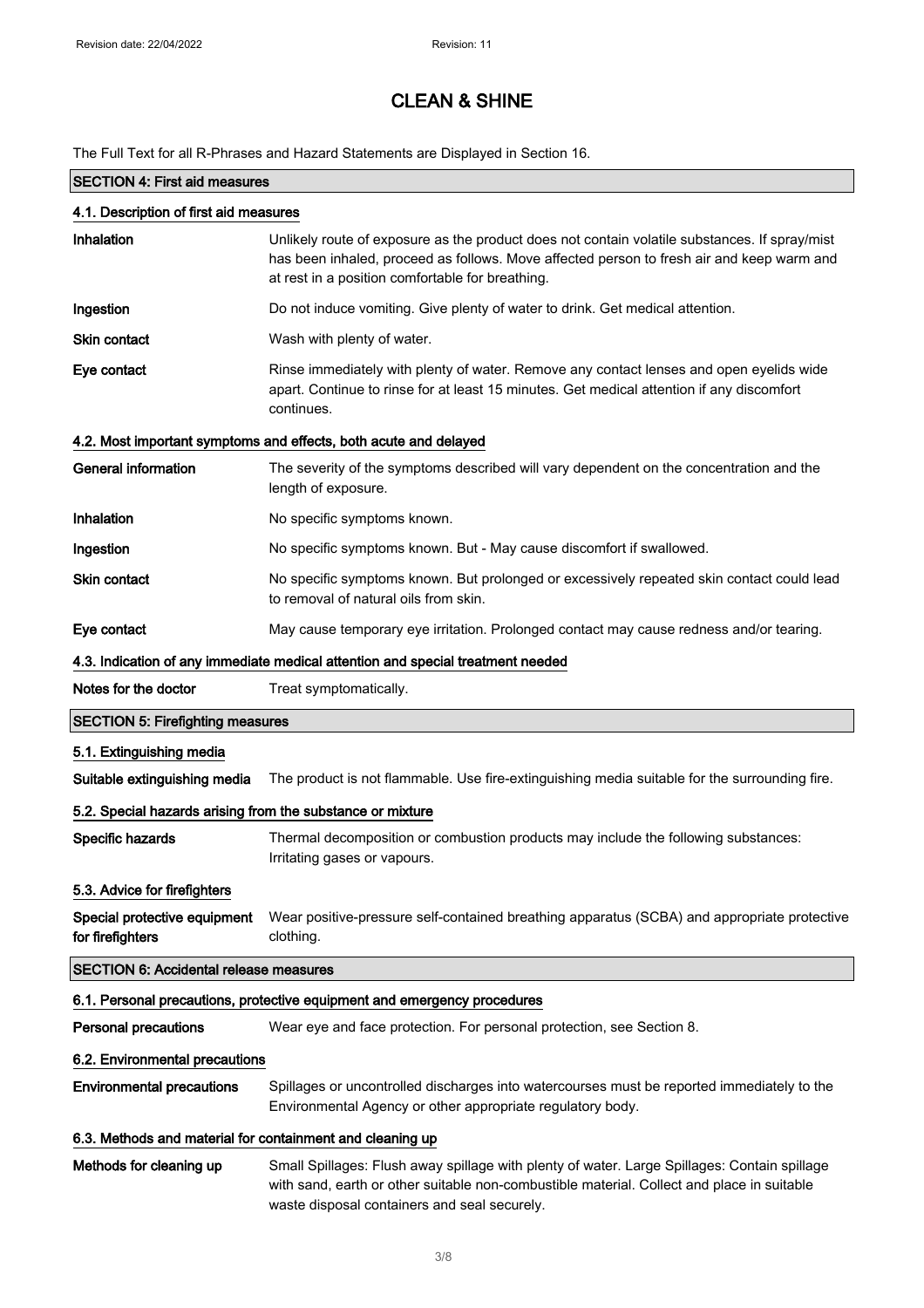The Full Text for all R-Phrases and Hazard Statements are Displayed in Section 16.

# SECTION 4: First aid measures 4.1. Description of first aid measures Inhalation **Infinalation** Unlikely route of exposure as the product does not contain volatile substances. If spray/mist has been inhaled, proceed as follows. Move affected person to fresh air and keep warm and at rest in a position comfortable for breathing. **Ingestion** Do not induce vomiting. Give plenty of water to drink. Get medical attention. Skin contact Wash with plenty of water. Eye contact **Rinse immediately with plenty of water.** Remove any contact lenses and open eyelids wide apart. Continue to rinse for at least 15 minutes. Get medical attention if any discomfort continues. 4.2. Most important symptoms and effects, both acute and delayed General information The severity of the symptoms described will vary dependent on the concentration and the length of exposure. Inhalation No specific symptoms known. **Ingestion** No specific symptoms known. But - May cause discomfort if swallowed. Skin contact No specific symptoms known. But prolonged or excessively repeated skin contact could lead to removal of natural oils from skin. Eye contact May cause temporary eye irritation. Prolonged contact may cause redness and/or tearing. 4.3. Indication of any immediate medical attention and special treatment needed Notes for the doctor Treat symptomatically. SECTION 5: Firefighting measures 5.1. Extinguishing media Suitable extinguishing media The product is not flammable. Use fire-extinguishing media suitable for the surrounding fire. 5.2. Special hazards arising from the substance or mixture Specific hazards Thermal decomposition or combustion products may include the following substances: Irritating gases or vapours. 5.3. Advice for firefighters Special protective equipment for firefighters Wear positive-pressure self-contained breathing apparatus (SCBA) and appropriate protective clothing. SECTION 6: Accidental release measures 6.1. Personal precautions, protective equipment and emergency procedures Personal precautions Wear eye and face protection. For personal protection, see Section 8. 6.2. Environmental precautions Environmental precautions Spillages or uncontrolled discharges into watercourses must be reported immediately to the Environmental Agency or other appropriate regulatory body. 6.3. Methods and material for containment and cleaning up Methods for cleaning up Small Spillages: Flush away spillage with plenty of water. Large Spillages: Contain spillage with sand, earth or other suitable non-combustible material. Collect and place in suitable

waste disposal containers and seal securely.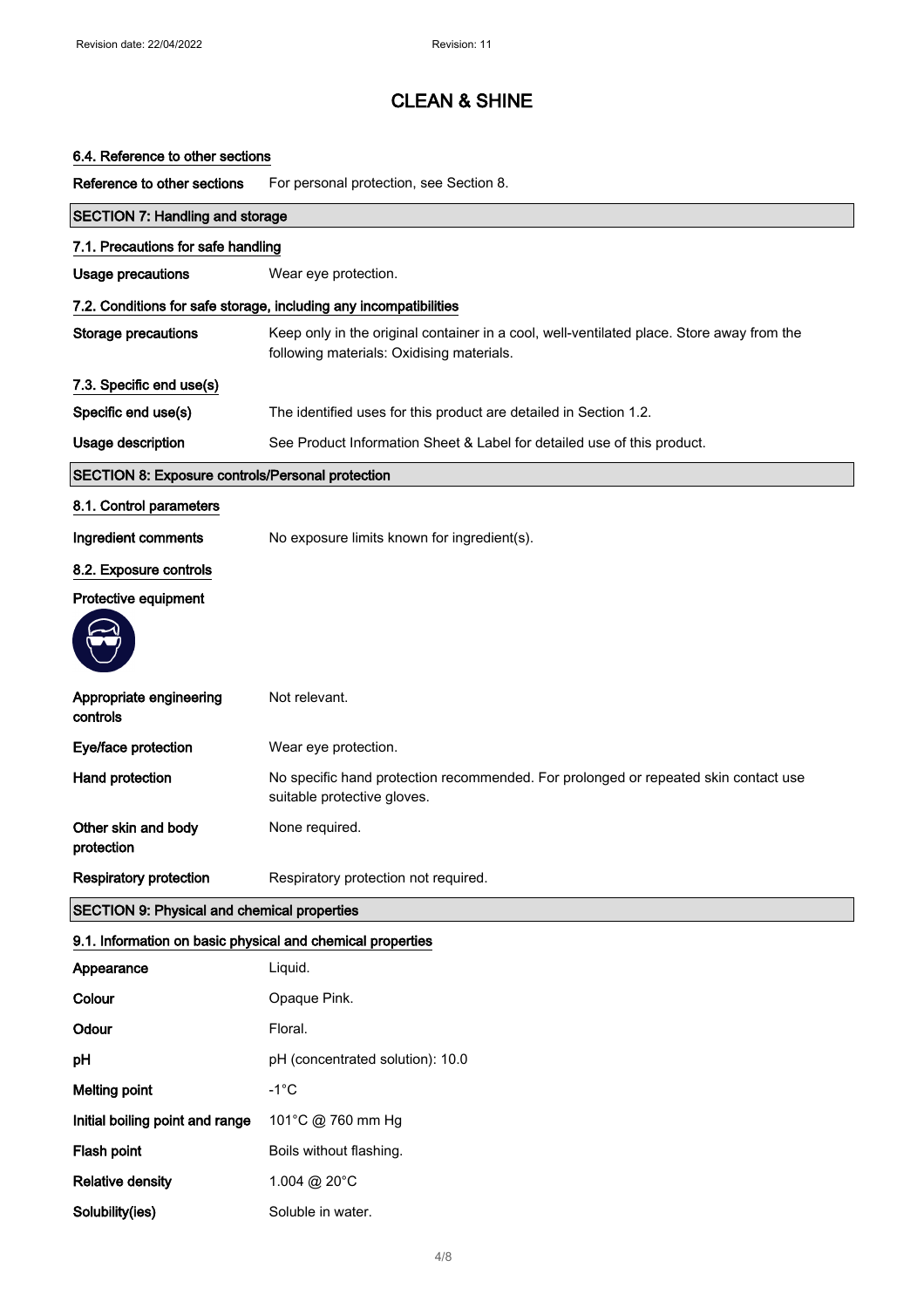## 6.4. Reference to other sections

Reference to other sections For personal protection, see Section 8.

| <b>SECTION 7: Handling and storage</b>                     |                                                                                                                                        |  |
|------------------------------------------------------------|----------------------------------------------------------------------------------------------------------------------------------------|--|
| 7.1. Precautions for safe handling                         |                                                                                                                                        |  |
| Usage precautions                                          | Wear eye protection.                                                                                                                   |  |
|                                                            | 7.2. Conditions for safe storage, including any incompatibilities                                                                      |  |
| <b>Storage precautions</b>                                 | Keep only in the original container in a cool, well-ventilated place. Store away from the<br>following materials: Oxidising materials. |  |
| 7.3. Specific end use(s)                                   |                                                                                                                                        |  |
| Specific end use(s)                                        | The identified uses for this product are detailed in Section 1.2.                                                                      |  |
| Usage description                                          | See Product Information Sheet & Label for detailed use of this product.                                                                |  |
| SECTION 8: Exposure controls/Personal protection           |                                                                                                                                        |  |
| 8.1. Control parameters                                    |                                                                                                                                        |  |
| Ingredient comments                                        | No exposure limits known for ingredient(s).                                                                                            |  |
| 8.2. Exposure controls                                     |                                                                                                                                        |  |
| Protective equipment                                       |                                                                                                                                        |  |
|                                                            |                                                                                                                                        |  |
| Appropriate engineering<br>controls                        | Not relevant.                                                                                                                          |  |
| Eye/face protection                                        | Wear eye protection.                                                                                                                   |  |
| Hand protection                                            | No specific hand protection recommended. For prolonged or repeated skin contact use<br>suitable protective gloves.                     |  |
| Other skin and body<br>protection                          | None required.                                                                                                                         |  |
| <b>Respiratory protection</b>                              | Respiratory protection not required.                                                                                                   |  |
| <b>SECTION 9: Physical and chemical properties</b>         |                                                                                                                                        |  |
| 9.1. Information on basic physical and chemical properties |                                                                                                                                        |  |
| Appearance                                                 | Liquid.                                                                                                                                |  |
| Colour                                                     | Opaque Pink.                                                                                                                           |  |
| Odour                                                      | Floral.                                                                                                                                |  |
| pH                                                         | pH (concentrated solution): 10.0                                                                                                       |  |
| <b>Melting point</b>                                       | $-1^{\circ}C$                                                                                                                          |  |
| Initial boiling point and range                            | 101°C @ 760 mm Hg                                                                                                                      |  |
| Flash point                                                | Boils without flashing.                                                                                                                |  |
| <b>Relative density</b>                                    | 1.004 @ 20°C                                                                                                                           |  |
| Solubility(ies)                                            | Soluble in water.                                                                                                                      |  |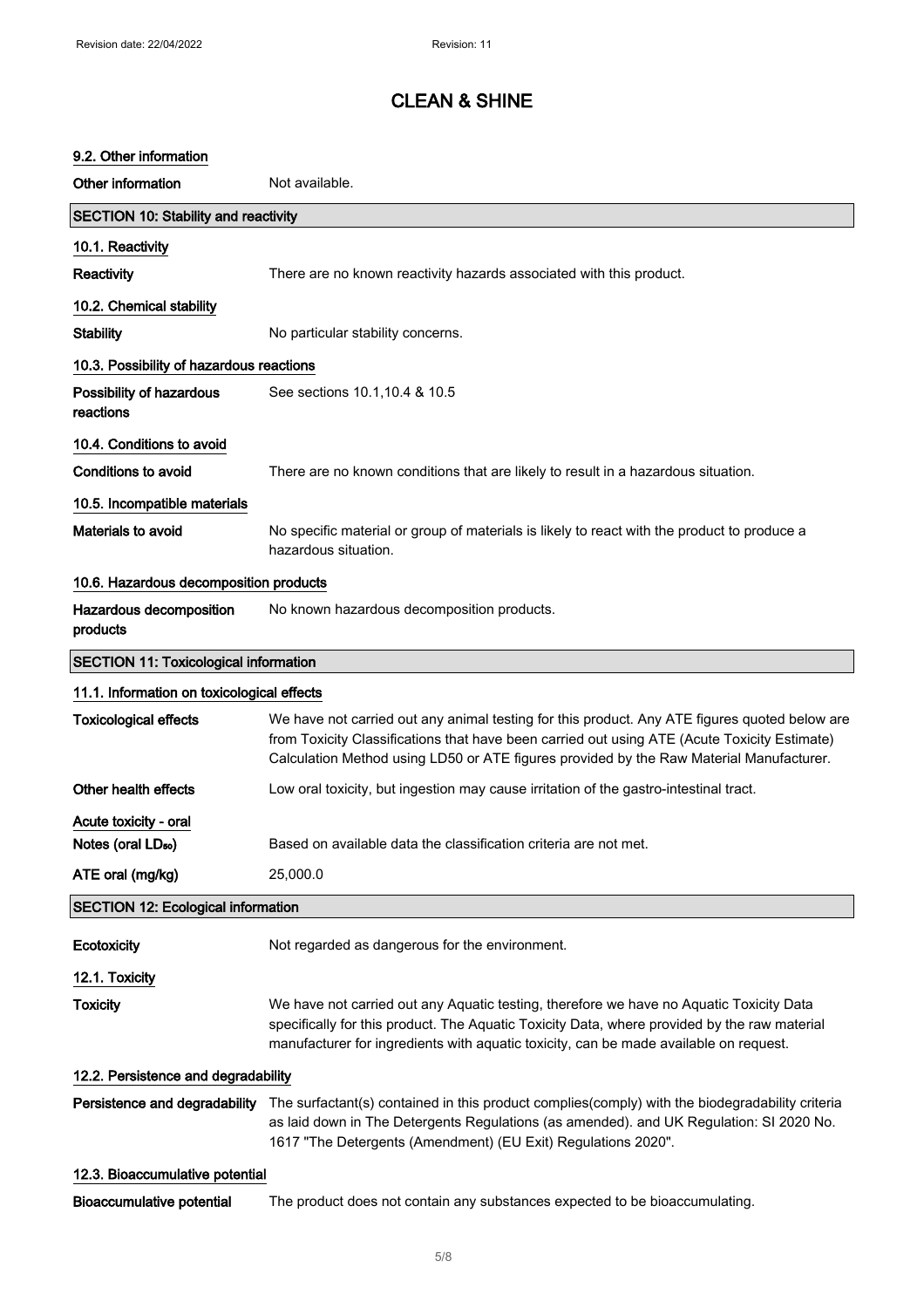## 9.2. Other information

| Other information                            | Not available.                                                                                                                                                                                                                                                                           |  |
|----------------------------------------------|------------------------------------------------------------------------------------------------------------------------------------------------------------------------------------------------------------------------------------------------------------------------------------------|--|
| SECTION 10: Stability and reactivity         |                                                                                                                                                                                                                                                                                          |  |
| 10.1. Reactivity                             |                                                                                                                                                                                                                                                                                          |  |
| <b>Reactivity</b>                            | There are no known reactivity hazards associated with this product.                                                                                                                                                                                                                      |  |
| 10.2. Chemical stability                     |                                                                                                                                                                                                                                                                                          |  |
| <b>Stability</b>                             | No particular stability concerns.                                                                                                                                                                                                                                                        |  |
| 10.3. Possibility of hazardous reactions     |                                                                                                                                                                                                                                                                                          |  |
| Possibility of hazardous<br>reactions        | See sections 10.1, 10.4 & 10.5                                                                                                                                                                                                                                                           |  |
| 10.4. Conditions to avoid                    |                                                                                                                                                                                                                                                                                          |  |
| Conditions to avoid                          | There are no known conditions that are likely to result in a hazardous situation.                                                                                                                                                                                                        |  |
| 10.5. Incompatible materials                 |                                                                                                                                                                                                                                                                                          |  |
| Materials to avoid                           | No specific material or group of materials is likely to react with the product to produce a<br>hazardous situation.                                                                                                                                                                      |  |
| 10.6. Hazardous decomposition products       |                                                                                                                                                                                                                                                                                          |  |
| Hazardous decomposition<br>products          | No known hazardous decomposition products.                                                                                                                                                                                                                                               |  |
| <b>SECTION 11: Toxicological information</b> |                                                                                                                                                                                                                                                                                          |  |
| 11.1. Information on toxicological effects   |                                                                                                                                                                                                                                                                                          |  |
| <b>Toxicological effects</b>                 | We have not carried out any animal testing for this product. Any ATE figures quoted below are<br>from Toxicity Classifications that have been carried out using ATE (Acute Toxicity Estimate)<br>Calculation Method using LD50 or ATE figures provided by the Raw Material Manufacturer. |  |
| Other health effects                         | Low oral toxicity, but ingestion may cause irritation of the gastro-intestinal tract.                                                                                                                                                                                                    |  |
| Acute toxicity - oral                        |                                                                                                                                                                                                                                                                                          |  |
| Notes (oral LD <sub>50</sub> )               | Based on available data the classification criteria are not met.                                                                                                                                                                                                                         |  |
| ATE oral (mg/kg)                             | 25,000.0                                                                                                                                                                                                                                                                                 |  |
| <b>SECTION 12: Ecological information</b>    |                                                                                                                                                                                                                                                                                          |  |
| Ecotoxicity                                  | Not regarded as dangerous for the environment.                                                                                                                                                                                                                                           |  |
| 12.1. Toxicity                               |                                                                                                                                                                                                                                                                                          |  |
| <b>Toxicity</b>                              | We have not carried out any Aquatic testing, therefore we have no Aquatic Toxicity Data<br>specifically for this product. The Aquatic Toxicity Data, where provided by the raw material<br>manufacturer for ingredients with aquatic toxicity, can be made available on request.         |  |
| 12.2. Persistence and degradability          |                                                                                                                                                                                                                                                                                          |  |
| Persistence and degradability                | The surfactant(s) contained in this product complies(comply) with the biodegradability criteria<br>as laid down in The Detergents Regulations (as amended). and UK Regulation: SI 2020 No.<br>1617 "The Detergents (Amendment) (EU Exit) Regulations 2020".                              |  |
| 12.3. Bioaccumulative potential              |                                                                                                                                                                                                                                                                                          |  |
| <b>Bioaccumulative potential</b>             | The product does not contain any substances expected to be bioaccumulating.                                                                                                                                                                                                              |  |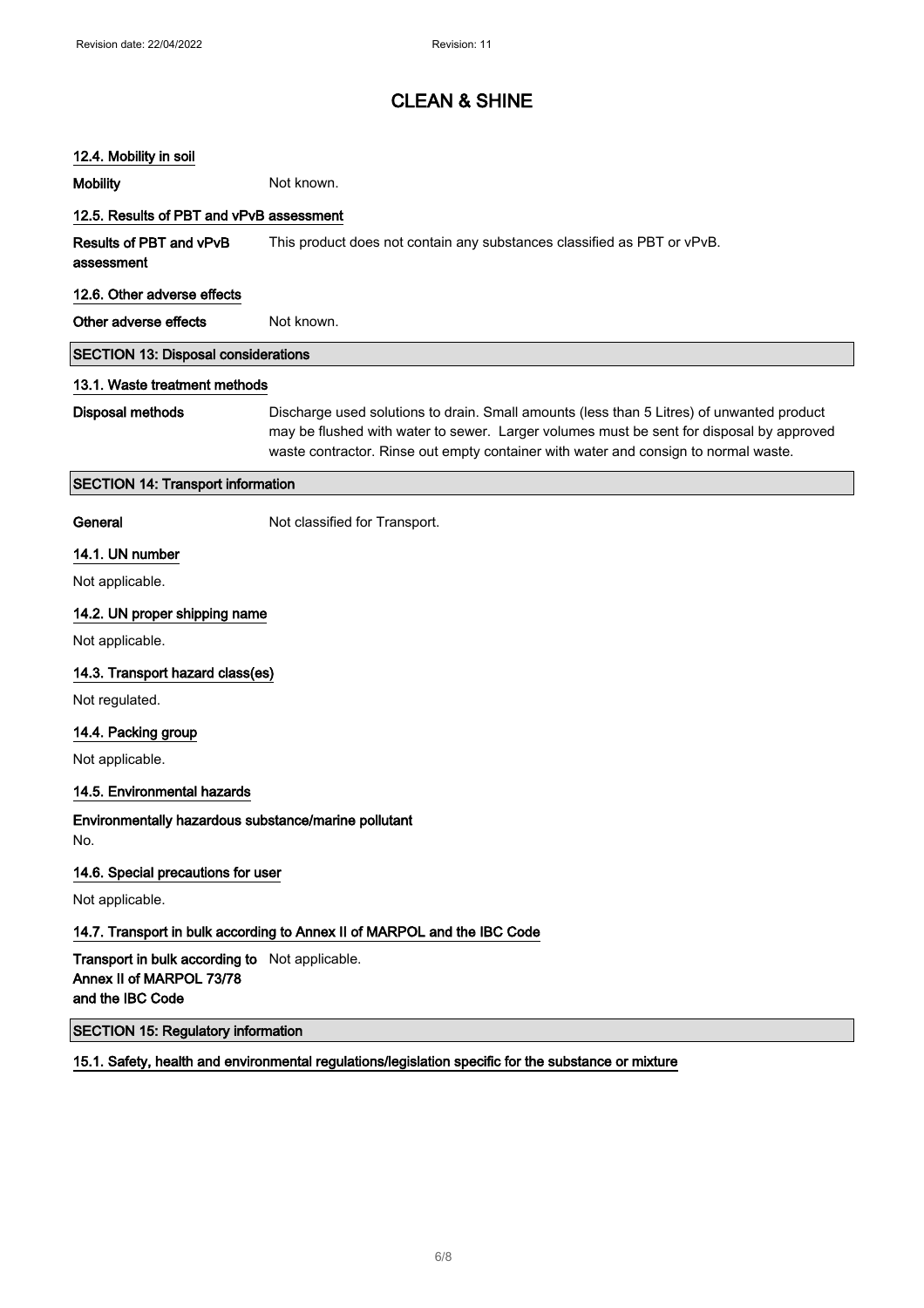### 12.4. Mobility in soil

Mobility **Mobility** Not known.

## 12.5. Results of PBT and vPvB assessment

Results of PBT and vPvB assessment This product does not contain any substances classified as PBT or vPvB.

#### 12.6. Other adverse effects

Other adverse effects Not known.

### SECTION 13: Disposal considerations

#### 13.1. Waste treatment methods

Disposal methods Discharge used solutions to drain. Small amounts (less than 5 Litres) of unwanted product may be flushed with water to sewer. Larger volumes must be sent for disposal by approved waste contractor. Rinse out empty container with water and consign to normal waste.

## SECTION 14: Transport information

General **General** Not classified for Transport.

### 14.1. UN number

Not applicable.

### 14.2. UN proper shipping name

Not applicable.

### 14.3. Transport hazard class(es)

Not regulated.

### 14.4. Packing group

Not applicable.

### 14.5. Environmental hazards

Environmentally hazardous substance/marine pollutant No.

### 14.6. Special precautions for user

Not applicable.

## 14.7. Transport in bulk according to Annex II of MARPOL and the IBC Code

Transport in bulk according to Not applicable. Annex II of MARPOL 73/78 and the IBC Code

## SECTION 15: Regulatory information

15.1. Safety, health and environmental regulations/legislation specific for the substance or mixture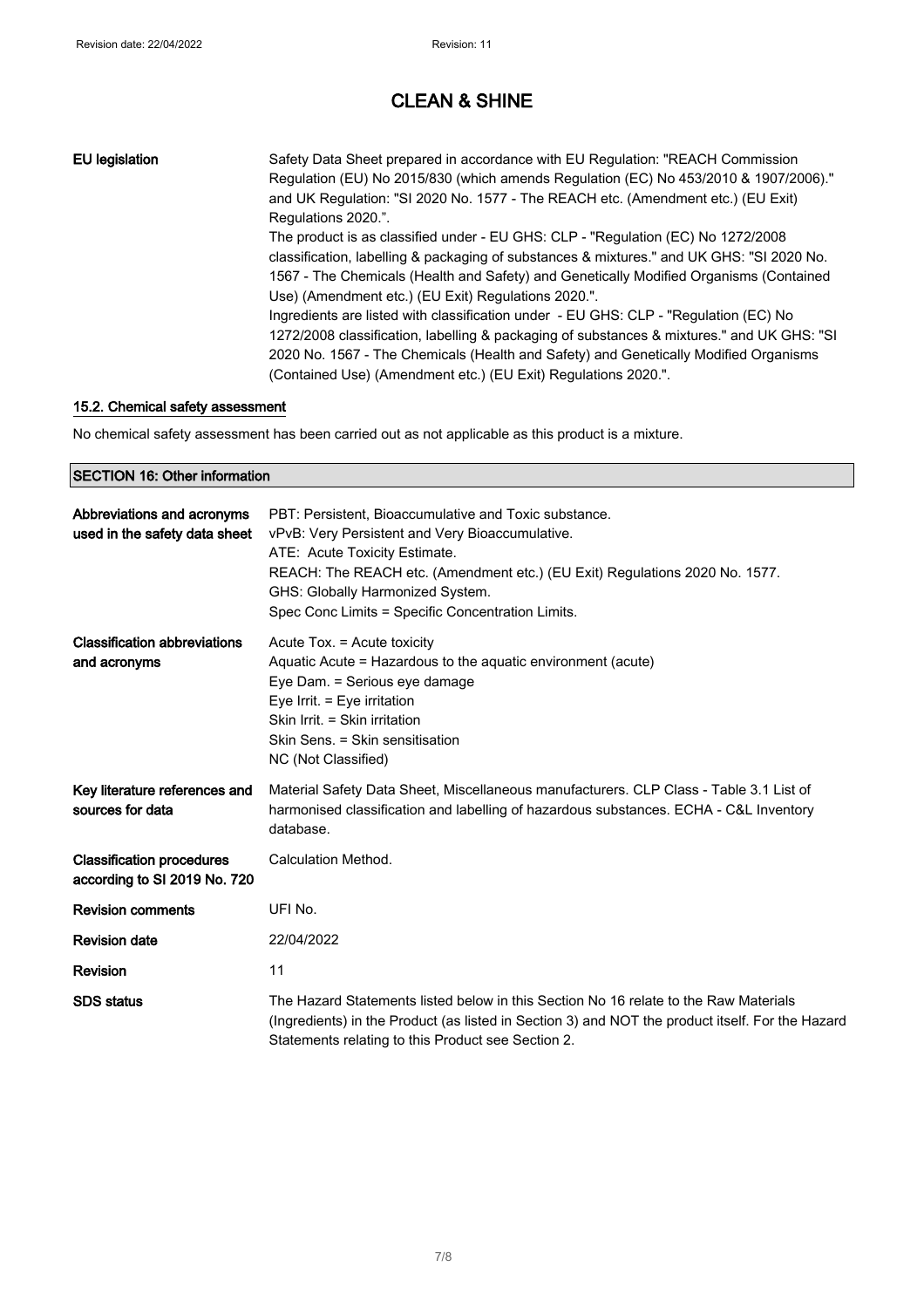## EU legislation Safety Data Sheet prepared in accordance with EU Regulation: "REACH Commission Regulation (EU) No 2015/830 (which amends Regulation (EC) No 453/2010 & 1907/2006)." and UK Regulation: "SI 2020 No. 1577 - The REACH etc. (Amendment etc.) (EU Exit) Regulations 2020.". The product is as classified under - EU GHS: CLP - "Regulation (EC) No 1272/2008 classification, labelling & packaging of substances & mixtures." and UK GHS: "SI 2020 No. 1567 - The Chemicals (Health and Safety) and Genetically Modified Organisms (Contained Use) (Amendment etc.) (EU Exit) Regulations 2020.". Ingredients are listed with classification under - EU GHS: CLP - "Regulation (EC) No 1272/2008 classification, labelling & packaging of substances & mixtures." and UK GHS: "SI 2020 No. 1567 - The Chemicals (Health and Safety) and Genetically Modified Organisms (Contained Use) (Amendment etc.) (EU Exit) Regulations 2020.".

### 15.2. Chemical safety assessment

No chemical safety assessment has been carried out as not applicable as this product is a mixture.

#### SECTION 16: Other information

| Abbreviations and acronyms<br>used in the safety data sheet      | PBT: Persistent, Bioaccumulative and Toxic substance.<br>vPvB: Very Persistent and Very Bioaccumulative.<br>ATE: Acute Toxicity Estimate.<br>REACH: The REACH etc. (Amendment etc.) (EU Exit) Regulations 2020 No. 1577.<br>GHS: Globally Harmonized System.<br>Spec Conc Limits = Specific Concentration Limits. |
|------------------------------------------------------------------|-------------------------------------------------------------------------------------------------------------------------------------------------------------------------------------------------------------------------------------------------------------------------------------------------------------------|
| <b>Classification abbreviations</b><br>and acronyms              | Acute Tox. = Acute toxicity<br>Aquatic Acute = Hazardous to the aquatic environment (acute)<br>Eye Dam. = Serious eye damage<br>Eye Irrit. $=$ Eye irritation<br>Skin Irrit. = Skin irritation<br>Skin Sens. = Skin sensitisation<br>NC (Not Classified)                                                          |
| Key literature references and<br>sources for data                | Material Safety Data Sheet, Miscellaneous manufacturers. CLP Class - Table 3.1 List of<br>harmonised classification and labelling of hazardous substances. ECHA - C&L Inventory<br>database.                                                                                                                      |
| <b>Classification procedures</b><br>according to SI 2019 No. 720 | Calculation Method.                                                                                                                                                                                                                                                                                               |
| <b>Revision comments</b>                                         | UFI No.                                                                                                                                                                                                                                                                                                           |
| <b>Revision date</b>                                             | 22/04/2022                                                                                                                                                                                                                                                                                                        |
| Revision                                                         | 11                                                                                                                                                                                                                                                                                                                |
| <b>SDS</b> status                                                | The Hazard Statements listed below in this Section No 16 relate to the Raw Materials<br>(Ingredients) in the Product (as listed in Section 3) and NOT the product itself. For the Hazard<br>Statements relating to this Product see Section 2.                                                                    |